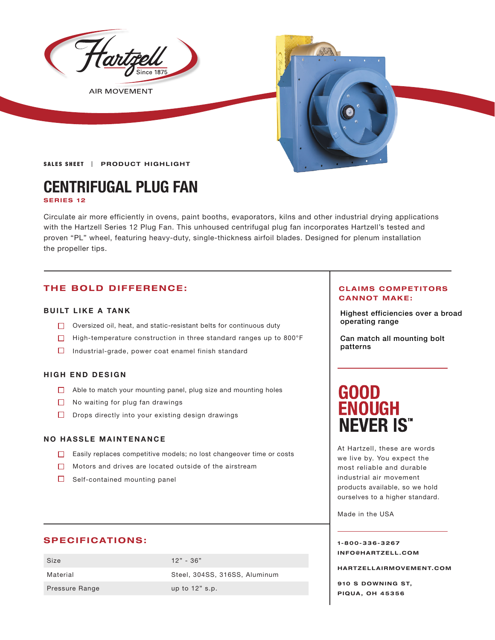

**AIR MOVEMENT** 



SALES SHEET | PRODUCT HIGHLIGHT

# **CENTRIFUGAL PLUG FAN SERIES 12**

Circulate air more efficiently in ovens, paint booths, evaporators, kilns and other industrial drying applications with the Hartzell Series 12 Plug Fan. This unhoused centrifugal plug fan incorporates Hartzell's tested and proven "PL" wheel, featuring heavy-duty, single-thickness airfoil blades. Designed for plenum installation the propeller tips.

# **THE BOLD DIFFERENCE:**

## **BUILT LIKE A TANK**

- $\Box$  Oversized oil, heat, and static-resistant belts for continuous duty
- High-temperature construction in three standard ranges up to 800°F
- $\Box$  Industrial-grade, power coat enamel finish standard

### **HIGH END DESIGN**

- Able to match your mounting panel, plug size and mounting holes
- $\Box$  No waiting for plug fan drawings
- $\Box$  Drops directly into your existing design drawings

### **NO HASSLE MAINTENANCE**

- Easily replaces competitive models; no lost changeover time or costs
- Motors and drives are located outside of the airstream
- $\Box$  Self-contained mounting panel

### **SPECIFICATIONS:**

| Size           | $12" - 36"$                   |
|----------------|-------------------------------|
| Material       | Steel, 304SS, 316SS, Aluminum |
| Pressure Range | up to $12"$ s.p.              |

### **CLAIMS COMPETITORS CANNOT MAKE:**

Highest efficiencies over a broad operating range

Can match all mounting bolt patterns

# **GOOD ENOUGH NEVER IS"**

At Hartzell, these are words we live by. You expect the most reliable and durable industrial air movement products available, so we hold ourselves to a higher standard.

Made in the USA

**1-800-336-3267 I N F O @ H A R T Z E L L . C OM** 

**HARTZELLA IRMOVEMENT.COM**

**910 S DOWNING ST, PIQUA, OH 45356**